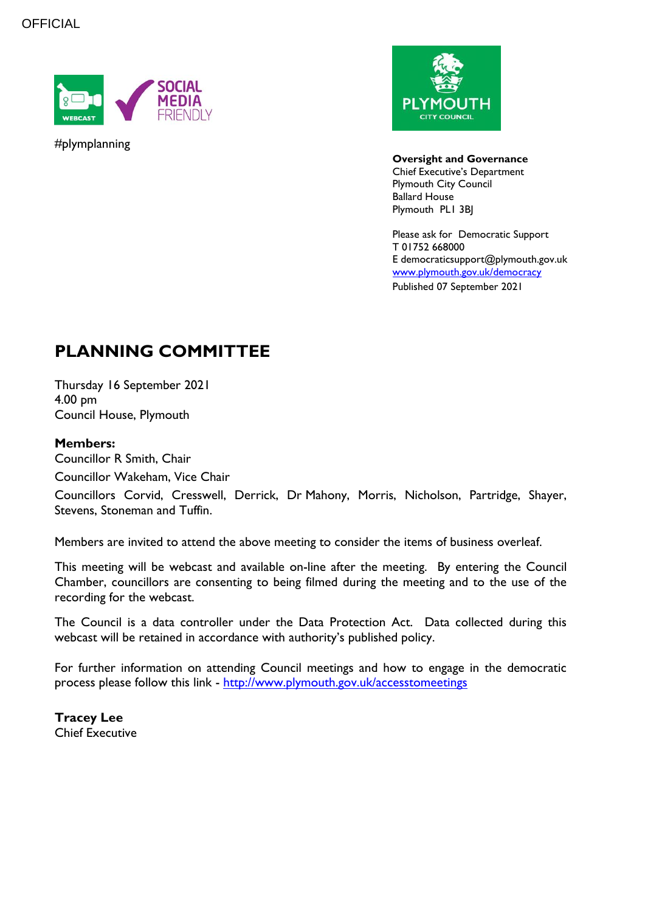

#plymplanning



**Oversight and Governance** Chief Executive's Department Plymouth City Council Ballard House Plymouth PL1 3BJ

Please ask for Democratic Support T 01752 668000 E democraticsupport@plymouth.gov.uk [www.plymouth.gov.uk/](http://www.plymouth.gov.uk/)democracy Published 07 September 2021

# **PLANNING COMMITTEE**

Thursday 16 September 2021 4.00 pm Council House, Plymouth

### **Members:**

Councillor R Smith, Chair Councillor Wakeham, Vice Chair

Councillors Corvid, Cresswell, Derrick, Dr Mahony, Morris, Nicholson, Partridge, Shayer, Stevens, Stoneman and Tuffin.

Members are invited to attend the above meeting to consider the items of business overleaf.

This meeting will be webcast and available on-line after the meeting. By entering the Council Chamber, councillors are consenting to being filmed during the meeting and to the use of the recording for the webcast.

The Council is a data controller under the Data Protection Act. Data collected during this webcast will be retained in accordance with authority's published policy.

For further information on attending Council meetings and how to engage in the democratic process please follow this link - <http://www.plymouth.gov.uk/accesstomeetings>

**Tracey Lee** Chief Executive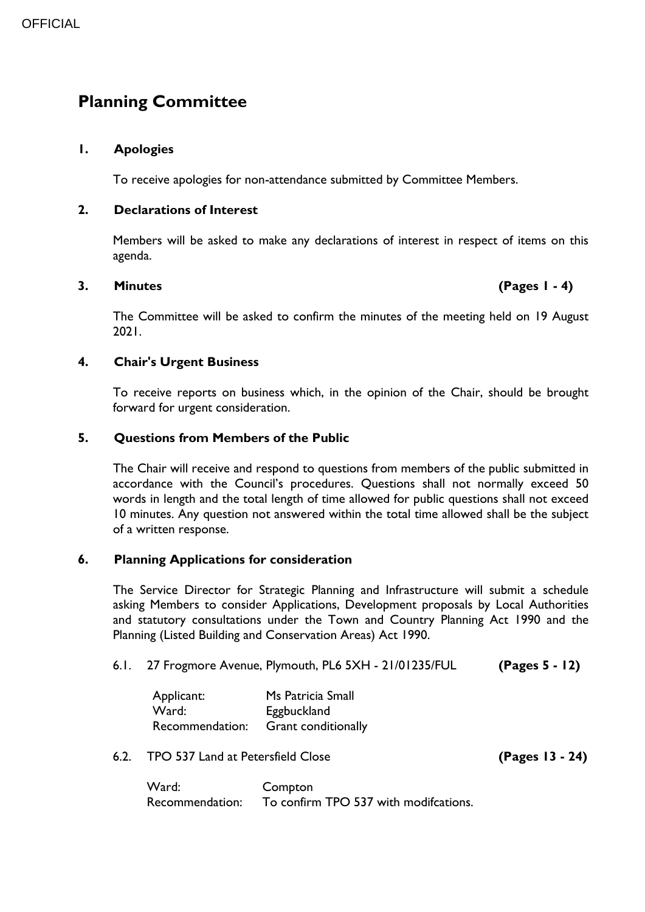## **Planning Committee**

#### **1. Apologies**

To receive apologies for non-attendance submitted by Committee Members.

#### **2. Declarations of Interest**

Members will be asked to make any declarations of interest in respect of items on this agenda.

#### **3. Minutes (Pages 1 - 4)**

The Committee will be asked to confirm the minutes of the meeting held on 19 August 2021.

#### **4. Chair's Urgent Business**

To receive reports on business which, in the opinion of the Chair, should be brought forward for urgent consideration.

#### **5. Questions from Members of the Public**

The Chair will receive and respond to questions from members of the public submitted in accordance with the Council's procedures. Questions shall not normally exceed 50 words in length and the total length of time allowed for public questions shall not exceed 10 minutes. Any question not answered within the total time allowed shall be the subject of a written response.

#### **6. Planning Applications for consideration**

The Service Director for Strategic Planning and Infrastructure will submit a schedule asking Members to consider Applications, Development proposals by Local Authorities and statutory consultations under the Town and Country Planning Act 1990 and the Planning (Listed Building and Conservation Areas) Act 1990.

#### 6.1. 27 Frogmore Avenue, Plymouth, PL6 5XH - 21/01235/FUL **(Pages 5 - 12)**

Applicant: Ms Patricia Small Ward: Eggbuckland Recommendation: Grant conditionally

#### 6.2. TPO 537 Land at Petersfield Close **(Pages 13 - 24)**

Ward: Compton Recommendation: To confirm TPO 537 with modifcations.